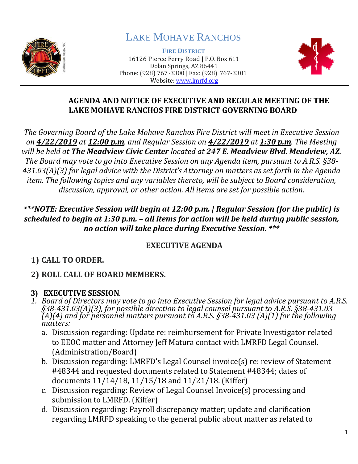

# LAKE MOHAVE RANCHOS

**FIRE DISTRICT** 16126 Pierce Ferry Road | P.O. Box 611 Dolan Springs, AZ 86441 Phone: (928) 767-3300 | Fax: (928) 767-3301 Website: [www.lmrfd.org](http://www.lmrfd.org/)



#### **AGENDA AND NOTICE OF EXECUTIVE AND REGULAR MEETING OF THE LAKE MOHAVE RANCHOS FIRE DISTRICT GOVERNING BOARD**

*The Governing Board of the Lake Mohave Ranchos Fire District will meet in Executive Session on 4/22/2019 at 12:00 p.m. and Regular Session on 4/22/2019 at 1:30 p.m. The Meeting will be held at The Meadview Civic Center located at 247 E. Meadview Blvd. Meadview, AZ. The Board may vote to go into Executive Session on any Agenda item, pursuant to A.R.S. §38- 431.03(A)(3) for legal advice with the District's Attorney on matters as set forth in the Agenda item. The following topics and any variables thereto, will be subject to Board consideration, discussion, approval, or other action. All items are set for possible action.*

#### *\*\*\*NOTE: Executive Session will begin at 12:00 p.m. | Regular Session (for the public) is scheduled to begin at 1:30 p.m. – all items for action will be held during public session, no action will take place during Executive Session. \*\*\**

#### **EXECUTIVE AGENDA**

# **1) CALL TO ORDER.**

# **2) ROLL CALL OF BOARD MEMBERS.**

### **3) EXECUTIVE SESSION***.*

- *1. Board of Directors may vote to go into Executive Session for legal advice pursuant to A.R.S. §38-431.03(A)(3), for possible direction to legal counsel pursuant to A.R.S. §38-431.03 (A)(4) and for personnel matters pursuant to A.R.S. §38-431.03 (A)(1) for the following matters:*
	- a. Discussion regarding: Update re: reimbursement for Private Investigator related to EEOC matter and Attorney Jeff Matura contact with LMRFD Legal Counsel. (Administration/Board)
	- b. Discussion regarding: LMRFD's Legal Counsel invoice(s) re: review of Statement #48344 and requested documents related to Statement #48344; dates of documents 11/14/18, 11/15/18 and 11/21/18. (Kiffer)
	- c. Discussion regarding: Review of Legal Counsel Invoice(s) processing and submission to LMRFD. (Kiffer)
	- d. Discussion regarding: Payroll discrepancy matter; update and clarification regarding LMRFD speaking to the general public about matter as related to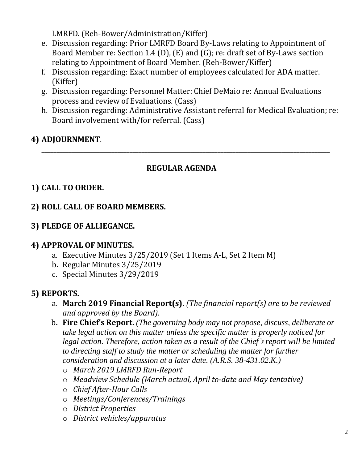LMRFD. (Reh-Bower/Administration/Kiffer)

- e. Discussion regarding: Prior LMRFD Board By-Laws relating to Appointment of Board Member re: Section 1.4 (D), (E) and (G); re: draft set of By-Laws section relating to Appointment of Board Member. (Reh-Bower/Kiffer)
- f. Discussion regarding: Exact number of employees calculated for ADA matter. (Kiffer)
- g. Discussion regarding: Personnel Matter: Chief DeMaio re: Annual Evaluations process and review of Evaluations. (Cass)
- h. Discussion regarding: Administrative Assistant referral for Medical Evaluation; re: Board involvement with/for referral. (Cass)

### **4) ADJOURNMENT**.

#### **REGULAR AGENDA**

**\_\_\_\_\_\_\_\_\_\_\_\_\_\_\_\_\_\_\_\_\_\_\_\_\_\_\_\_\_\_\_\_\_\_\_\_\_\_\_\_\_\_\_\_\_\_\_\_\_\_\_\_\_\_\_\_\_\_\_\_\_\_\_\_\_\_\_\_\_\_\_\_\_\_\_\_\_\_\_\_\_\_\_\_\_\_\_\_\_\_\_\_\_\_\_**

#### **1) CALL TO ORDER.**

#### **2) ROLL CALL OF BOARD MEMBERS.**

#### **3) PLEDGE OF ALLIEGANCE.**

#### **4) APPROVAL OF MINUTES.**

- a. Executive Minutes 3/25/2019 (Set 1 Items A-L, Set 2 Item M)
- b. Regular Minutes 3/25/2019
- c. Special Minutes 3/29/2019

#### **5) REPORTS.**

- a. **March 2019 Financial Report(s).** *(The financial report(s) are to be reviewed and approved by the Board).*
- b**. Fire Chief's Report.** *(The governing body may not propose, discuss, deliberate or take legal action on this matter unless the specific matter is properly noticed for legal action. Therefore, action taken as a result of the Chief's report will be limited to directing staff to study the matter or scheduling the matter for further consideration and discussion at a later date. (A.R.S. 38-431.02.K.)*
	- o *March 2019 LMRFD Run-Report*
	- o *Meadview Schedule (March actual, April to-date and May tentative)*
	- o *Chief After-Hour Calls*
	- o *Meetings/Conferences/Trainings*
	- o *District Properties*
	- o *District vehicles/apparatus*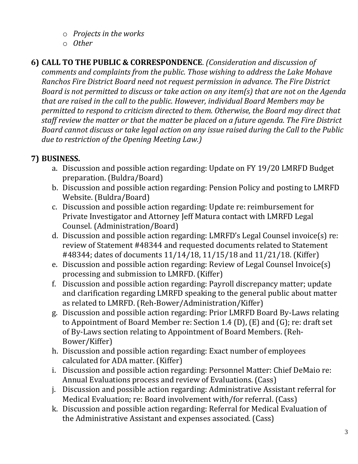- o *Projects in the works*
- o *Other*
- **6) CALL TO THE PUBLIC & CORRESPONDENCE**. *(Consideration and discussion of comments and complaints from the public. Those wishing to address the Lake Mohave Ranchos Fire District Board need not request permission in advance. The Fire District Board is not permitted to discuss or take action on any item(s) that are not on the Agenda that are raised in the call to the public. However, individual Board Members may be permitted to respond to criticism directed to them. Otherwise, the Board may direct that staff review the matter or that the matter be placed on a future agenda. The Fire District Board cannot discuss or take legal action on any issue raised during the Call to the Public due to restriction of the Opening Meeting Law.)*

## **7) BUSINESS.**

- a. Discussion and possible action regarding: Update on FY 19/20 LMRFD Budget preparation. (Buldra/Board)
- b. Discussion and possible action regarding: Pension Policy and posting to LMRFD Website. (Buldra/Board)
- c. Discussion and possible action regarding: Update re: reimbursement for Private Investigator and Attorney Jeff Matura contact with LMRFD Legal Counsel. (Administration/Board)
- d. Discussion and possible action regarding: LMRFD's Legal Counsel invoice(s) re: review of Statement #48344 and requested documents related to Statement #48344; dates of documents 11/14/18, 11/15/18 and 11/21/18. (Kiffer)
- e. Discussion and possible action regarding: Review of Legal Counsel Invoice(s) processing and submission to LMRFD. (Kiffer)
- f. Discussion and possible action regarding: Payroll discrepancy matter; update and clarification regarding LMRFD speaking to the general public about matter as related to LMRFD. (Reh-Bower/Administration/Kiffer)
- g. Discussion and possible action regarding: Prior LMRFD Board By-Laws relating to Appointment of Board Member re: Section 1.4 (D), (E) and (G); re: draft set of By-Laws section relating to Appointment of Board Members. (Reh-Bower/Kiffer)
- h. Discussion and possible action regarding: Exact number of employees calculated for ADA matter. (Kiffer)
- i. Discussion and possible action regarding: Personnel Matter: Chief DeMaio re: Annual Evaluations process and review of Evaluations. (Cass)
- j. Discussion and possible action regarding: Administrative Assistant referral for Medical Evaluation; re: Board involvement with/for referral. (Cass)
- k. Discussion and possible action regarding: Referral for Medical Evaluation of the Administrative Assistant and expenses associated. (Cass)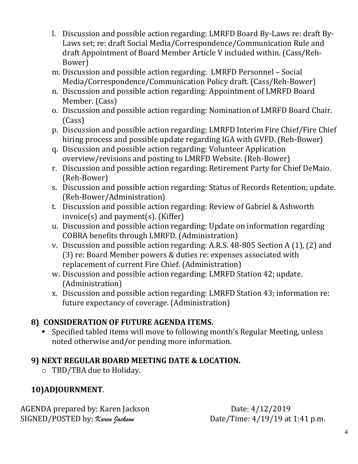- l. Discussion and possible action regarding: LMRFD Board By-Laws re: draft By-Laws set; re: draft Social Media/Correspondence/Communication Rule and draft Appointment of Board Member Article V included within. (Cass/Reh-Bower)
- m. Discussion and possible action regarding: LMRFD Personnel Social Media/Correspondence/Communication Policy draft. (Cass/Reh-Bower)
- n. Discussion and possible action regarding: Appointment of LMRFD Board Member. (Cass)
- o. Discussion and possible action regarding: Nomination of LMRFD Board Chair. (Cass)
- p. Discussion and possible action regarding: LMRFD Interim Fire Chief/Fire Chief hiring process and possible update regarding IGA with GVFD. (Reh-Bower)
- q. Discussion and possible action regarding: Volunteer Application overview/revisions and posting to LMRFD Website. (Reh-Bower)
- r. Discussion and possible action regarding: Retirement Party for Chief DeMaio. (Reh-Bower)
- s. Discussion and possible action regarding: Status of Records Retention; update. (Reh-Bower/Administration)
- t. Discussion and possible action regarding: Review of Gabriel & Ashworth invoice(s) and payment(s). (Kiffer)
- u. Discussion and possible action regarding: Update on information regarding COBRA benefits through LMRFD. (Administration)
- v. Discussion and possible action regarding: A.R.S. 48-805 Section A (1), (2) and (3) re: Board Member powers & duties re: expenses associated with replacement of current Fire Chief. (Administration)
- w. Discussion and possible action regarding: LMRFD Station 42; update. (Administration)
- x. Discussion and possible action regarding: LMRFD Station 43; information re: future expectancy of coverage. (Administration)

### **8) CONSIDERATION OF FUTURE AGENDA ITEMS.**

■ Specified tabled items will move to following month's Regular Meeting, unless noted otherwise and/or pending more information.

### **9) NEXT REGULAR BOARD MEETING DATE & LOCATION.**

o TBD/TBA due to Holiday.

# **10)ADJOURNMENT**.

AGENDA prepared by: Karen Jackson Date: 4/12/2019 SIGNED/POSTED by:  $\chi_{area}$  fackson Date/Time: 4/19/19 at 1:41 p.m.